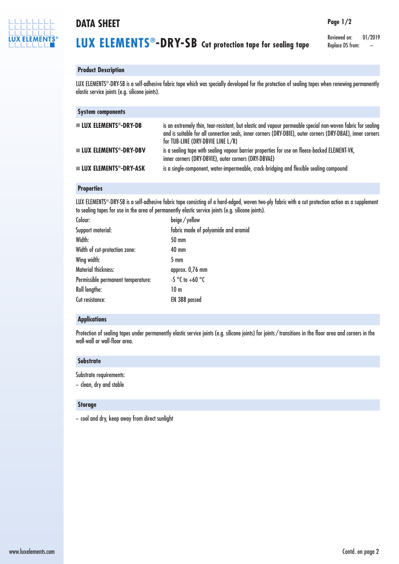

# **DATA SHEET**

Reviewed on: 01/2019 Replace DS from:

**Page 1/2**

# **Product Description**

LUX ELEMENTS ®-DRY-SB is a self-adhesive fabric tape which was specially developed for the protection of sealing tapes when renewing permanently elastic service joints (e.g. silicone joints).

| <b>System components</b>                         |                                                                                                                                                                                                                                                                 |
|--------------------------------------------------|-----------------------------------------------------------------------------------------------------------------------------------------------------------------------------------------------------------------------------------------------------------------|
| $\blacksquare$ LUX ELEMENTS <sup>®</sup> -DRY-DB | is an extremely thin, tear-resistant, but elastic and vapour permeable special non-woven fabric for sealing<br>and is suitable for all connection seals, inner corners (DRY-DBIE), outer corners (DRY-DBAE), inner corners<br>for TUB-LINE (DRY-DBVIE LINE L/R) |
| $\blacksquare$ LUX ELEMENTS®-DRY-DBV             | is a sealing tape with sealing vapour barrier properties for use on fleece-backed ELEMENT-VK,<br>inner corners (DRY-DBVIE), outer corners (DRY-DBVAE)                                                                                                           |
| $\blacksquare$ LUX ELEMENTS®-DRY-ASK             | is a single-component, water-impermeable, crack-bridging and flexible sealing compound                                                                                                                                                                          |

# **Properties**

LUX ELEMENTS ®-DRY-SB is a self-adhesive fabric tape consisting of a hard-edged, woven two-ply fabric with a cut protection action as a supplement to sealing tapes for use in the area of permanently elastic service joints (e.g. silicone joints).

| beige / yellow                      |
|-------------------------------------|
| fabric made of polyamide and aramid |
| 50 mm                               |
| 40 mm                               |
| $5 \text{ mm}$                      |
| approx. 0,76 mm                     |
| $-5$ °C to +60 °C                   |
| 10 <sub>m</sub>                     |
| EN 388 passed                       |
|                                     |

## **Applications**

Protection of sealing tapes under permanently elastic service joints (e.g. silicone joints) for joints / transitions in the floor area and corners in the wall-wall or wall-floor area.

#### **Substrate**

Substrate requirements:

– clean, dry and stable

## **Storage**

– cool and dry, keep away from direct sunlight